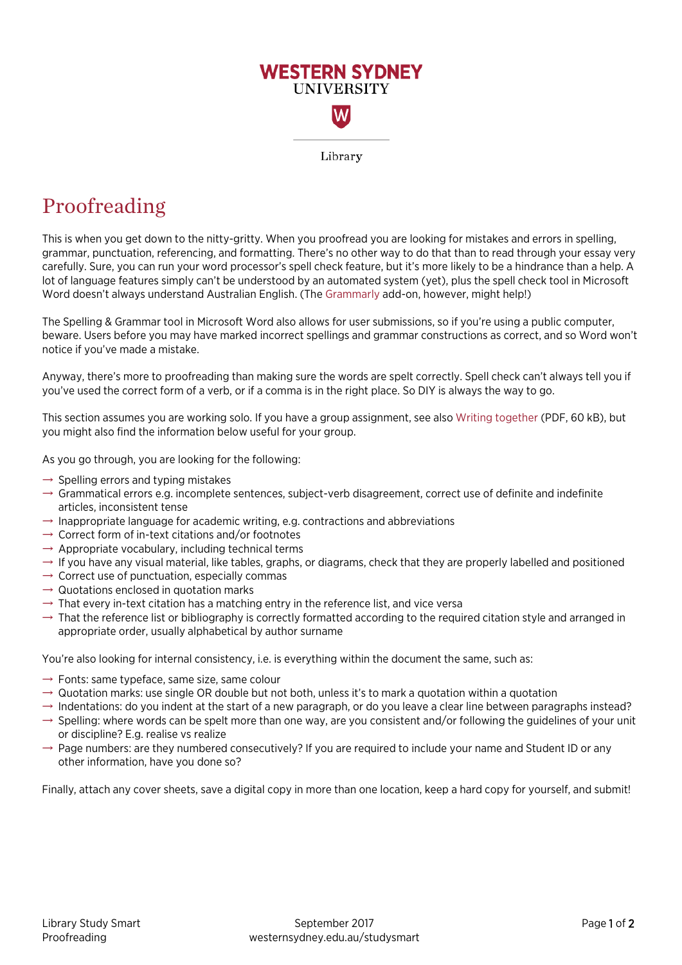

## Proofreading

This is when you get down to the nitty-gritty. When you proofread you are looking for mistakes and errors in spelling, grammar, punctuation, referencing, and formatting. There's no other way to do that than to read through your essay very carefully. Sure, you can run your word processor's spell check feature, but it's more likely to be a hindrance than a help. A lot of language features simply can't be understood by an automated system (yet), plus the spell check tool in Microsoft Word doesn't always understand Australian English. (The [Grammarly](https://www.grammarly.com/) add-on, however, might help!)

The Spelling & Grammar tool in Microsoft Word also allows for user submissions, so if you're using a public computer, beware. Users before you may have marked incorrect spellings and grammar constructions as correct, and so Word won't notice if you've made a mistake.

Anyway, there's more to proofreading than making sure the words are spelt correctly. Spell check can't always tell you if you've used the correct form of a verb, or if a comma is in the right place. So DIY is always the way to go.

This section assumes you are working solo. If you have a group assignment, see also [Writing together](https://westernsydney.edu.au/__data/assets/pdf_file/0010/1082818/Writing_together.pdf) (PDF, 60 kB), but you might also find the information below useful for your group.

As you go through, you are looking for the following:

- $\rightarrow$  Spelling errors and typing mistakes
- $\rightarrow$  Grammatical errors e.g. incomplete sentences, subject-verb disagreement, correct use of definite and indefinite articles, inconsistent tense
- $\rightarrow$  Inappropriate language for academic writing, e.g. contractions and abbreviations
- $\rightarrow$  Correct form of in-text citations and/or footnotes
- $\rightarrow$  Appropriate vocabulary, including technical terms
- $\rightarrow$  If you have any visual material, like tables, graphs, or diagrams, check that they are properly labelled and positioned
- $\rightarrow$  Correct use of punctuation, especially commas
- $\rightarrow$  Quotations enclosed in quotation marks
- $\rightarrow$  That every in-text citation has a matching entry in the reference list, and vice versa
- $\rightarrow$  That the reference list or bibliography is correctly formatted according to the required citation style and arranged in appropriate order, usually alphabetical by author surname

You're also looking for internal consistency, i.e. is everything within the document the same, such as:

- $\rightarrow$  Fonts: same typeface, same size, same colour
- $\rightarrow$  Quotation marks: use single OR double but not both, unless it's to mark a quotation within a quotation
- $\rightarrow$  Indentations: do you indent at the start of a new paragraph, or do you leave a clear line between paragraphs instead?
- $\rightarrow$  Spelling: where words can be spelt more than one way, are you consistent and/or following the guidelines of your unit or discipline? E.g. realise vs realize
- $\rightarrow$  Page numbers: are they numbered consecutively? If you are required to include your name and Student ID or any other information, have you done so?

Finally, attach any cover sheets, save a digital copy in more than one location, keep a hard copy for yourself, and submit!